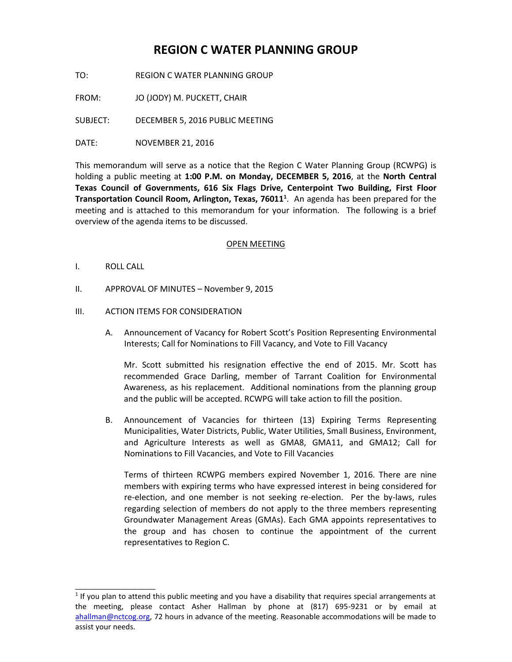# **REGION C WATER PLANNING GROUP**

TO: REGION C WATER PLANNING GROUP

FROM: JO (JODY) M. PUCKETT, CHAIR

SUBJECT: DECEMBER 5, 2016 PUBLIC MEETING

DATE: NOVEMBER 21, 2016

This memorandum will serve as a notice that the Region C Water Planning Group (RCWPG) is holding a public meeting at **1:00 P.M. on Monday, DECEMBER 5, 2016**, at the **North Central Texas Council of Governments, 616 Six Flags Drive, Centerpoint Two Building, First Floor Transportation Council Room, Arlington, Texas, 76011<sup>1</sup>** . An agenda has been prepared for the meeting and is attached to this memorandum for your information. The following is a brief overview of the agenda items to be discussed.

#### OPEN MEETING

I. ROLL CALL

\_\_\_\_\_\_\_\_\_\_\_\_\_\_\_\_

II. APPROVAL OF MINUTES – November 9, 2015

#### III. ACTION ITEMS FOR CONSIDERATION

A. Announcement of Vacancy for Robert Scott's Position Representing Environmental Interests; Call for Nominations to Fill Vacancy, and Vote to Fill Vacancy

Mr. Scott submitted his resignation effective the end of 2015. Mr. Scott has recommended Grace Darling, member of Tarrant Coalition for Environmental Awareness, as his replacement. Additional nominations from the planning group and the public will be accepted. RCWPG will take action to fill the position.

B. Announcement of Vacancies for thirteen (13) Expiring Terms Representing Municipalities, Water Districts, Public, Water Utilities, Small Business, Environment, and Agriculture Interests as well as GMA8, GMA11, and GMA12; Call for Nominations to Fill Vacancies, and Vote to Fill Vacancies

Terms of thirteen RCWPG members expired November 1, 2016. There are nine members with expiring terms who have expressed interest in being considered for re-election, and one member is not seeking re-election. Per the by-laws, rules regarding selection of members do not apply to the three members representing Groundwater Management Areas (GMAs). Each GMA appoints representatives to the group and has chosen to continue the appointment of the current representatives to Region C.

<sup>&</sup>lt;sup>1</sup> If you plan to attend this public meeting and you have a disability that requires special arrangements at the meeting, please contact Asher Hallman by phone at (817) 695-9231 or by email at [ahallman@nctcog.org,](mailto:ahallman@nctcog.org) 72 hours in advance of the meeting. Reasonable accommodations will be made to assist your needs.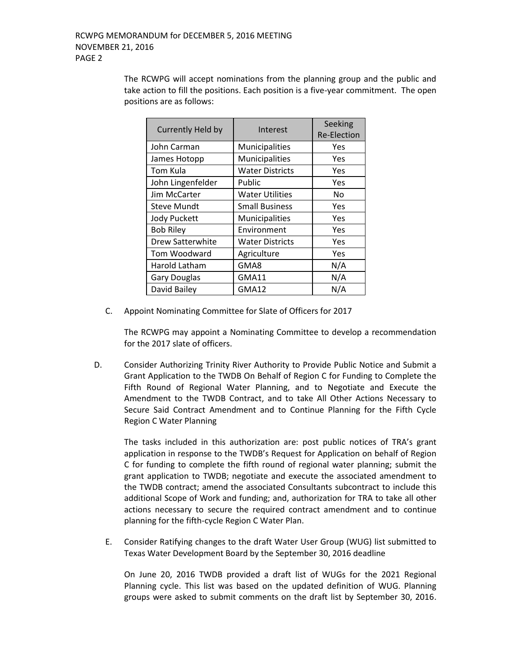The RCWPG will accept nominations from the planning group and the public and take action to fill the positions. Each position is a five-year commitment. The open positions are as follows:

| Currently Held by   | Interest               | Seeking            |
|---------------------|------------------------|--------------------|
|                     |                        | <b>Re-Election</b> |
| John Carman         | Municipalities         | Yes                |
| James Hotopp        | Municipalities         | Yes                |
| Tom Kula            | <b>Water Districts</b> | Yes                |
| John Lingenfelder   | Public                 | Yes                |
| Jim McCarter        | <b>Water Utilities</b> | No                 |
| <b>Steve Mundt</b>  | <b>Small Business</b>  | Yes                |
| <b>Jody Puckett</b> | Municipalities         | Yes                |
| <b>Bob Riley</b>    | Environment            | Yes                |
| Drew Satterwhite    | <b>Water Districts</b> | Yes                |
| Tom Woodward        | Agriculture            | Yes                |
| Harold Latham       | GMA8                   | N/A                |
| <b>Gary Douglas</b> | <b>GMA11</b>           | N/A                |
| David Bailey        | GMA12                  | N/A                |

C. Appoint Nominating Committee for Slate of Officers for 2017

The RCWPG may appoint a Nominating Committee to develop a recommendation for the 2017 slate of officers.

D. Consider Authorizing Trinity River Authority to Provide Public Notice and Submit a Grant Application to the TWDB On Behalf of Region C for Funding to Complete the Fifth Round of Regional Water Planning, and to Negotiate and Execute the Amendment to the TWDB Contract, and to take All Other Actions Necessary to Secure Said Contract Amendment and to Continue Planning for the Fifth Cycle Region C Water Planning

The tasks included in this authorization are: post public notices of TRA's grant application in response to the TWDB's Request for Application on behalf of Region C for funding to complete the fifth round of regional water planning; submit the grant application to TWDB; negotiate and execute the associated amendment to the TWDB contract; amend the associated Consultants subcontract to include this additional Scope of Work and funding; and, authorization for TRA to take all other actions necessary to secure the required contract amendment and to continue planning for the fifth-cycle Region C Water Plan.

E. Consider Ratifying changes to the draft Water User Group (WUG) list submitted to Texas Water Development Board by the September 30, 2016 deadline

On June 20, 2016 TWDB provided a draft list of WUGs for the 2021 Regional Planning cycle. This list was based on the updated definition of WUG. Planning groups were asked to submit comments on the draft list by September 30, 2016.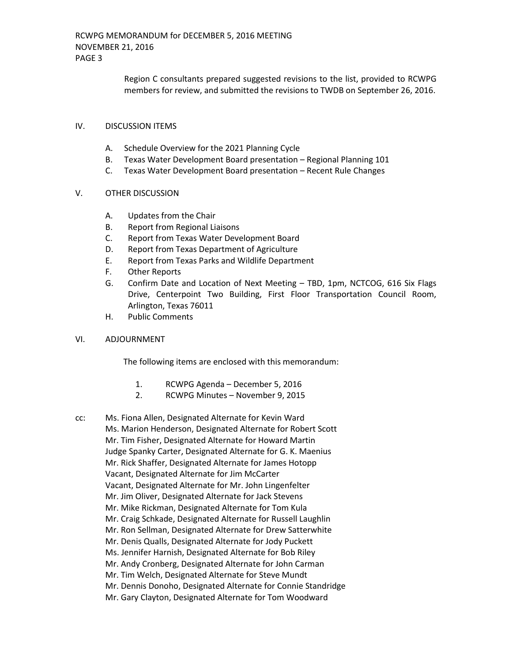Region C consultants prepared suggested revisions to the list, provided to RCWPG members for review, and submitted the revisions to TWDB on September 26, 2016.

### IV. DISCUSSION ITEMS

- A. Schedule Overview for the 2021 Planning Cycle
- B. Texas Water Development Board presentation Regional Planning 101
- C. Texas Water Development Board presentation Recent Rule Changes

## V. OTHER DISCUSSION

- A. Updates from the Chair
- B. Report from Regional Liaisons
- C. Report from Texas Water Development Board
- D. Report from Texas Department of Agriculture
- E. Report from Texas Parks and Wildlife Department
- F. Other Reports
- G. Confirm Date and Location of Next Meeting TBD, 1pm, NCTCOG, 616 Six Flags Drive, Centerpoint Two Building, First Floor Transportation Council Room, Arlington, Texas 76011
- H. Public Comments

#### VI. ADJOURNMENT

The following items are enclosed with this memorandum:

- 1. RCWPG Agenda December 5, 2016
- 2. RCWPG Minutes November 9, 2015
- cc: Ms. Fiona Allen, Designated Alternate for Kevin Ward Ms. Marion Henderson, Designated Alternate for Robert Scott Mr. Tim Fisher, Designated Alternate for Howard Martin Judge Spanky Carter, Designated Alternate for G. K. Maenius Mr. Rick Shaffer, Designated Alternate for James Hotopp Vacant, Designated Alternate for Jim McCarter Vacant, Designated Alternate for Mr. John Lingenfelter Mr. Jim Oliver, Designated Alternate for Jack Stevens Mr. Mike Rickman, Designated Alternate for Tom Kula Mr. Craig Schkade, Designated Alternate for Russell Laughlin Mr. Ron Sellman, Designated Alternate for Drew Satterwhite Mr. Denis Qualls, Designated Alternate for Jody Puckett Ms. Jennifer Harnish, Designated Alternate for Bob Riley Mr. Andy Cronberg, Designated Alternate for John Carman Mr. Tim Welch, Designated Alternate for Steve Mundt Mr. Dennis Donoho, Designated Alternate for Connie Standridge Mr. Gary Clayton, Designated Alternate for Tom Woodward